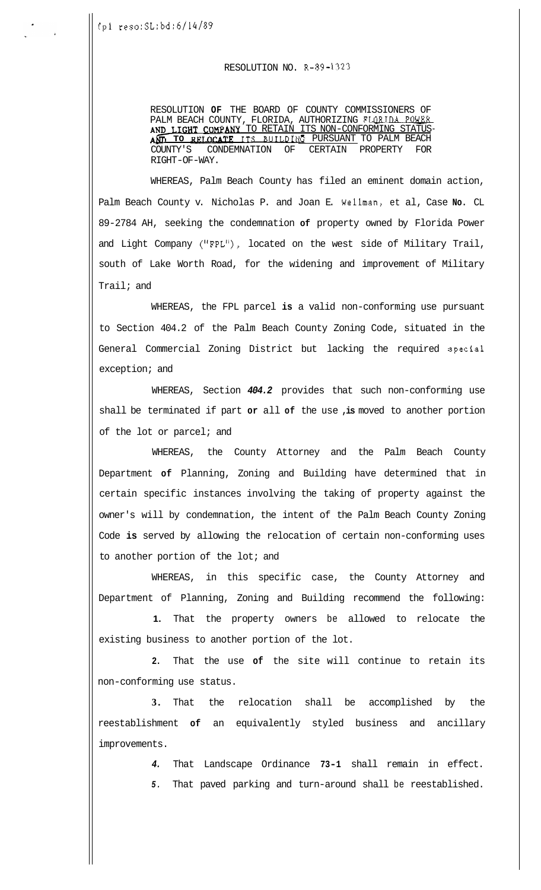## RESOLUTION NO. R-89-1323

RESOLUTION **OF** THE BOARD OF COUNTY COMMISSIONERS OF PALM BEACH COUNTY, FLORIDA, AUTHORIZING FLORIDA POWER AND LIGHT COMPANY TO RETAIN ITS NON-CONFORMING STATUS AN FRIESOLUTION NO. R-89-1323<br>
RESOLUTION OF THE BOARD OF COUNTY COMMISSIONERS OF<br>
PALM BEACH COUNTY, FLORIDA, AUTHORIZING FLORIDA POWER<br>
AND LIGHT COMPANY TO RETAIN ITS NON-CONFORMING STATUS-<br>
AND LIGHT COMPANY TO RETAIN COUNTY'S CONDEMNATION OF CERTAIN PROPERTY FOR RIGHT-OF-WAY.

WHEREAS, Palm Beach County has filed an eminent domain action, Palm Beach County v. Nicholas P. and Joan E. Wellman, et al, Case **No.** CL 89-2784 AH, seeking the condemnation **of** property owned by Florida Power and Light Company ("FPL"), located on the west side of Military Trail, south of Lake Worth Road, for the widening and improvement of Military Trail; and

WHEREAS, the FPL parcel **is** a valid non-conforming use pursuant to Section 404.2 of the Palm Beach County Zoning Code, situated in the General Commercial Zoning District but lacking the required special exception; and

WHEREAS, Section *404.2* provides that such non-conforming use shall be terminated if part **or** all **of** the use **,is** moved to another portion of the lot or parcel; and

WHEREAS, the County Attorney and the Palm Beach County Department **of** Planning, Zoning and Building have determined that in certain specific instances involving the taking of property against the owner's will by condemnation, the intent of the Palm Beach County Zoning Code **is** served by allowing the relocation of certain non-conforming uses to another portion of the lot; and

WHEREAS, in this specific case, the County Attorney and Department of Planning, Zoning and Building recommend the following:

**1.** That the property owners be allowed to relocate the existing business to another portion of the lot.

**2.** That the use **of** the site will continue to retain its non-conforming use status.

**3.** That the relocation shall be accomplished by the reestablishment **of** an equivalently styled business and ancillary improvements.

> *4.* That Landscape Ordinance **73-1** shall remain in effect. *5.* That paved parking and turn-around shall be reestablished.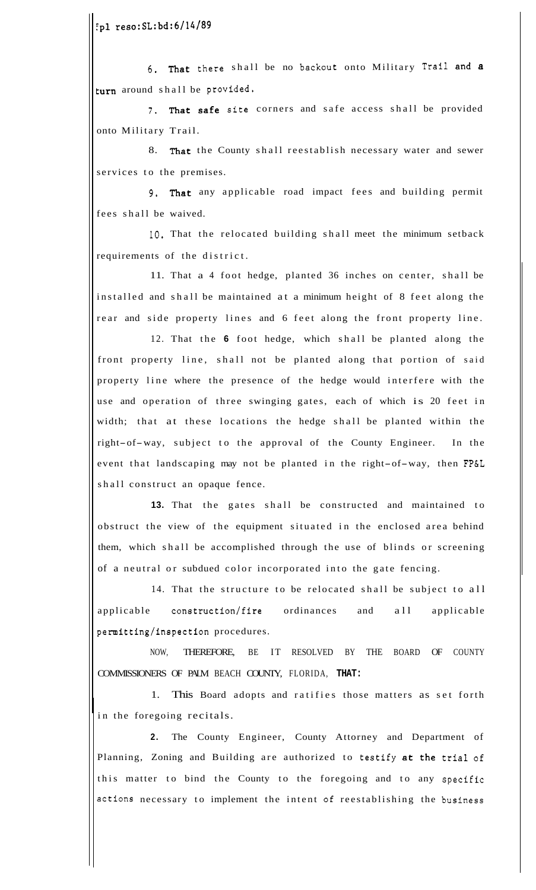~pl reso:SL:bd:6/14/89

6. That there shall be no backout onto Military Trail and a turn around shall be provided.

**7.** That safe site corners and safe access shall be provided onto Military Trail.

8. That the County shall reestablish necessary water and sewer services to the premises.

9. That any applicable road impact fees and building permit fees shall be waived.

**10.** That the relocated building shall meet the minimum setback requirements of the district.

11. That a 4 foot hedge, planted 36 inches on center, shall be installed and shall be maintained at a minimum height of 8 feet along the rear and side property lines and 6 feet along the front property line.

12. That the **6** foot hedge, which shall be planted along the front property line, shall not be planted along that portion of said property line where the presence of the hedge would interfere with the use and operation of three swinging gates, each of which is 20 feet in width; that at these locations the hedge shall be planted within the right-of-way, subject to the approval of the County Engineer. In the event that landscaping may not be planted in the right-of-way, then FP&L shall construct an opaque fence.

**13.** That the gates shall be constructed and maintained to obstruct the view of the equipment situated in the enclosed area behind them, which shall be accomplished through the use of blinds or screening of a neutral or subdued color incorporated into the gate fencing.

14. That the structure to be relocated shall be subject to all applicable construction/fire ordinances and all applicable permitting/inspection procedures.

NOW, THEREFORE, BE IT RESOLVED BY THE BOARD OF COUNTY COMMISSIONERS OF PALM BEACH COUNTY, FLORIDA, **THAT:** 

1. This Board adopts and ratifies those matters as set forth in the foregoing recitals.

**2.** The County Engineer, County Attorney and Department of Planning, Zoning and Building are authorized to testify at the trial of this matter to bind the County to the foregoing and to any specific actions necessary to implement the intent **of** reestablishing the business